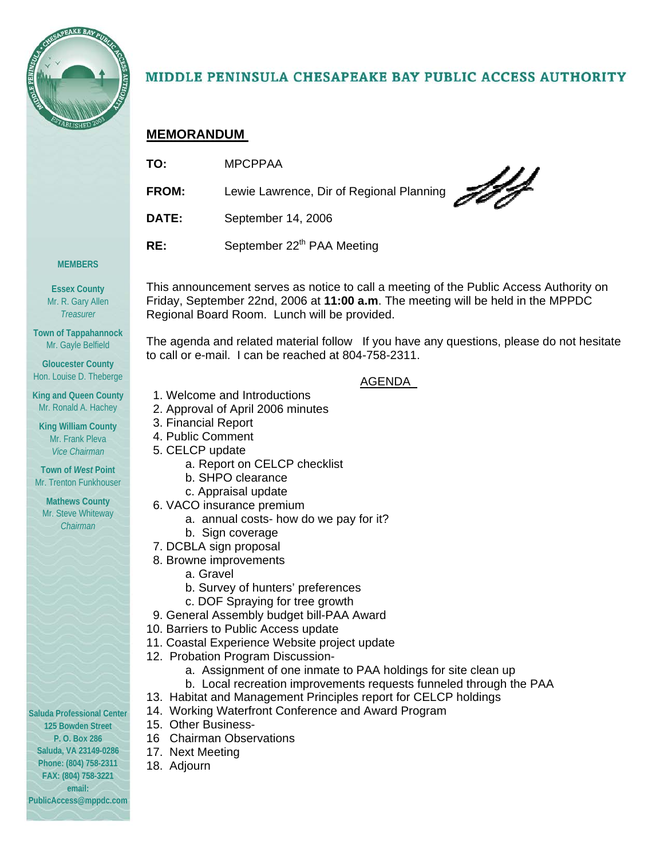

## MIDDLE PENINSULA CHESAPEAKE BAY PUBLIC ACCESS AUTHORITY

## **MEMORANDUM**

| TO:   | <b>MPCPPAA</b>                           |
|-------|------------------------------------------|
| FROM: | Lewie Lawrence, Dir of Regional Planning |
| DATE: | September 14, 2006                       |
| RE:   | September 22 <sup>th</sup> PAA Meeting   |

#### **MEMBERS**

**Essex County**  Mr. R. Gary Allen *Treasurer* 

**Town of Tappahannock**  Mr. Gayle Belfield

**Gloucester County**  Hon. Louise D. Theberge

**King and Queen County**  Mr. Ronald A. Hachey

**King William County**  Mr. Frank Pleva *Vice Chairman* 

**Town of** *West* **Point**  Mr. Trenton Funkhouser

**Mathews County**  Mr. Steve Whiteway *Chairman* 

**Saluda Professional Center 125 Bowden Street P. O. Box 286 Saluda, VA 23149-0286 Phone: (804) 758-2311 FAX: (804) 758-3221 email: PublicAccess@mppdc.com** 

This announcement serves as notice to call a meeting of the Public Access Authority on Friday, September 22nd, 2006 at **11:00 a.m**. The meeting will be held in the MPPDC Regional Board Room. Lunch will be provided.

The agenda and related material follow If you have any questions, please do not hesitate to call or e-mail. I can be reached at 804-758-2311.

### AGENDA

- 1. Welcome and Introductions
- 2. Approval of April 2006 minutes
- 3. Financial Report
- 4. Public Comment
- 5. CELCP update
	- a. Report on CELCP checklist
	- b. SHPO clearance
	- c. Appraisal update
- 6. VACO insurance premium
	- a. annual costs- how do we pay for it?
	- b. Sign coverage
- 7. DCBLA sign proposal
- 8. Browne improvements
	- a. Gravel
	- b. Survey of hunters' preferences
	- c. DOF Spraying for tree growth
- 9. General Assembly budget bill-PAA Award
- 10. Barriers to Public Access update
- 11. Coastal Experience Website project update
- 12. Probation Program Discussion
	- a. Assignment of one inmate to PAA holdings for site clean up
	- b. Local recreation improvements requests funneled through the PAA
- 13. Habitat and Management Principles report for CELCP holdings
- 14. Working Waterfront Conference and Award Program
- 15. Other Business-
- 16 Chairman Observations
- 17. Next Meeting
- 18. Adjourn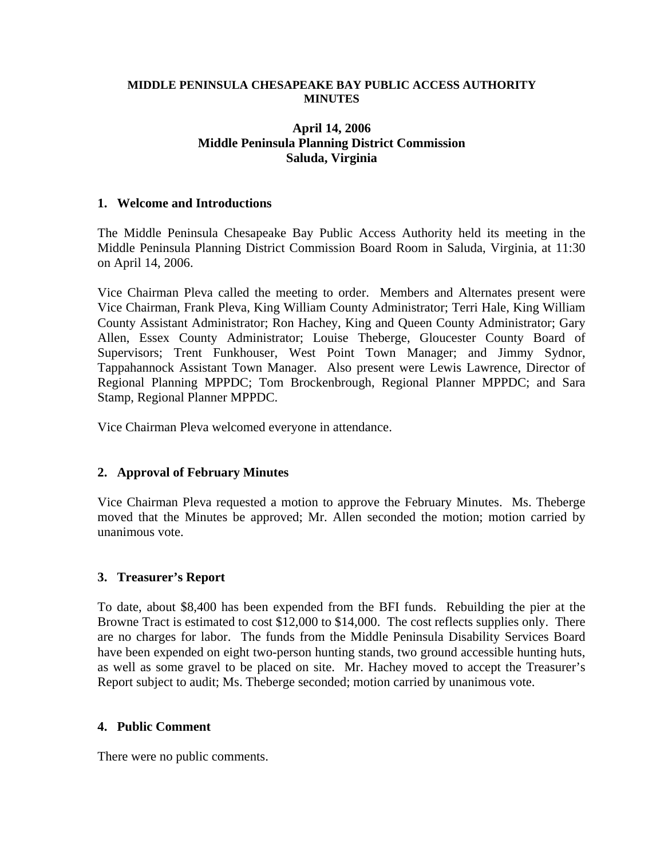#### **MIDDLE PENINSULA CHESAPEAKE BAY PUBLIC ACCESS AUTHORITY MINUTES**

### **April 14, 2006 Middle Peninsula Planning District Commission Saluda, Virginia**

#### **1. Welcome and Introductions**

The Middle Peninsula Chesapeake Bay Public Access Authority held its meeting in the Middle Peninsula Planning District Commission Board Room in Saluda, Virginia, at 11:30 on April 14, 2006.

Vice Chairman Pleva called the meeting to order. Members and Alternates present were Vice Chairman, Frank Pleva, King William County Administrator; Terri Hale, King William County Assistant Administrator; Ron Hachey, King and Queen County Administrator; Gary Allen, Essex County Administrator; Louise Theberge, Gloucester County Board of Supervisors; Trent Funkhouser, West Point Town Manager; and Jimmy Sydnor, Tappahannock Assistant Town Manager. Also present were Lewis Lawrence, Director of Regional Planning MPPDC; Tom Brockenbrough, Regional Planner MPPDC; and Sara Stamp, Regional Planner MPPDC.

Vice Chairman Pleva welcomed everyone in attendance.

#### **2. Approval of February Minutes**

Vice Chairman Pleva requested a motion to approve the February Minutes. Ms. Theberge moved that the Minutes be approved; Mr. Allen seconded the motion; motion carried by unanimous vote.

#### **3. Treasurer's Report**

To date, about \$8,400 has been expended from the BFI funds. Rebuilding the pier at the Browne Tract is estimated to cost \$12,000 to \$14,000. The cost reflects supplies only. There are no charges for labor. The funds from the Middle Peninsula Disability Services Board have been expended on eight two-person hunting stands, two ground accessible hunting huts, as well as some gravel to be placed on site. Mr. Hachey moved to accept the Treasurer's Report subject to audit; Ms. Theberge seconded; motion carried by unanimous vote.

#### **4. Public Comment**

There were no public comments.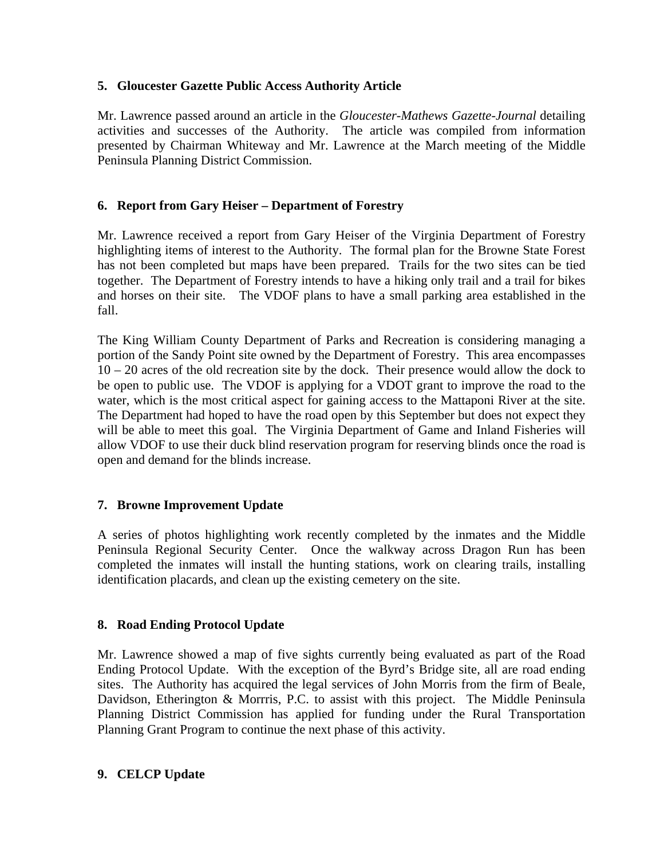## **5. Gloucester Gazette Public Access Authority Article**

Mr. Lawrence passed around an article in the *Gloucester-Mathews Gazette-Journal* detailing activities and successes of the Authority. The article was compiled from information presented by Chairman Whiteway and Mr. Lawrence at the March meeting of the Middle Peninsula Planning District Commission.

## **6. Report from Gary Heiser – Department of Forestry**

Mr. Lawrence received a report from Gary Heiser of the Virginia Department of Forestry highlighting items of interest to the Authority. The formal plan for the Browne State Forest has not been completed but maps have been prepared. Trails for the two sites can be tied together. The Department of Forestry intends to have a hiking only trail and a trail for bikes and horses on their site. The VDOF plans to have a small parking area established in the fall.

The King William County Department of Parks and Recreation is considering managing a portion of the Sandy Point site owned by the Department of Forestry. This area encompasses 10 – 20 acres of the old recreation site by the dock. Their presence would allow the dock to be open to public use. The VDOF is applying for a VDOT grant to improve the road to the water, which is the most critical aspect for gaining access to the Mattaponi River at the site. The Department had hoped to have the road open by this September but does not expect they will be able to meet this goal. The Virginia Department of Game and Inland Fisheries will allow VDOF to use their duck blind reservation program for reserving blinds once the road is open and demand for the blinds increase.

## **7. Browne Improvement Update**

A series of photos highlighting work recently completed by the inmates and the Middle Peninsula Regional Security Center. Once the walkway across Dragon Run has been completed the inmates will install the hunting stations, work on clearing trails, installing identification placards, and clean up the existing cemetery on the site.

#### **8. Road Ending Protocol Update**

Mr. Lawrence showed a map of five sights currently being evaluated as part of the Road Ending Protocol Update. With the exception of the Byrd's Bridge site, all are road ending sites. The Authority has acquired the legal services of John Morris from the firm of Beale, Davidson, Etherington & Morrris, P.C. to assist with this project. The Middle Peninsula Planning District Commission has applied for funding under the Rural Transportation Planning Grant Program to continue the next phase of this activity.

#### **9. CELCP Update**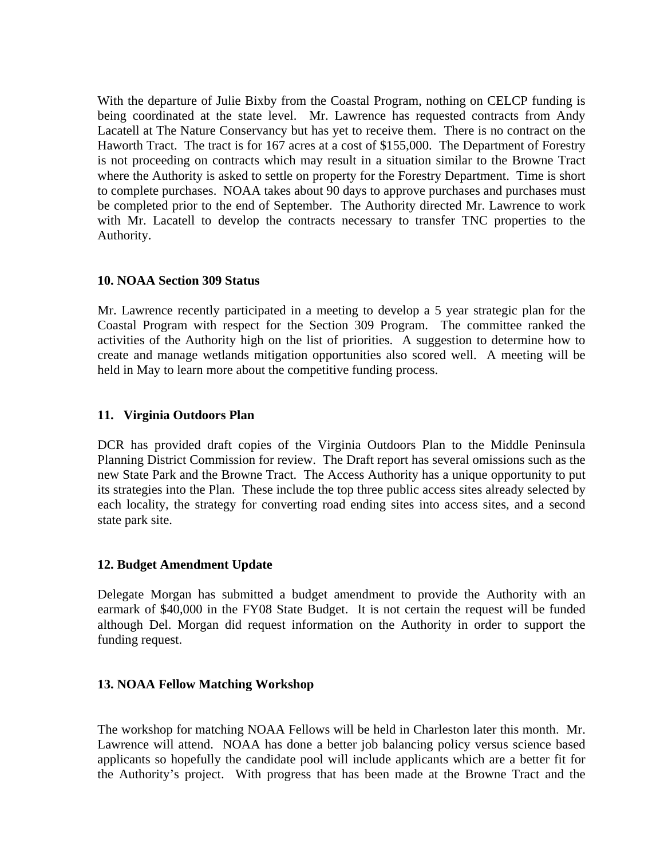With the departure of Julie Bixby from the Coastal Program, nothing on CELCP funding is being coordinated at the state level. Mr. Lawrence has requested contracts from Andy Lacatell at The Nature Conservancy but has yet to receive them. There is no contract on the Haworth Tract. The tract is for 167 acres at a cost of \$155,000. The Department of Forestry is not proceeding on contracts which may result in a situation similar to the Browne Tract where the Authority is asked to settle on property for the Forestry Department. Time is short to complete purchases. NOAA takes about 90 days to approve purchases and purchases must be completed prior to the end of September. The Authority directed Mr. Lawrence to work with Mr. Lacatell to develop the contracts necessary to transfer TNC properties to the Authority.

### **10. NOAA Section 309 Status**

Mr. Lawrence recently participated in a meeting to develop a 5 year strategic plan for the Coastal Program with respect for the Section 309 Program. The committee ranked the activities of the Authority high on the list of priorities. A suggestion to determine how to create and manage wetlands mitigation opportunities also scored well. A meeting will be held in May to learn more about the competitive funding process.

### **11. Virginia Outdoors Plan**

DCR has provided draft copies of the Virginia Outdoors Plan to the Middle Peninsula Planning District Commission for review. The Draft report has several omissions such as the new State Park and the Browne Tract. The Access Authority has a unique opportunity to put its strategies into the Plan. These include the top three public access sites already selected by each locality, the strategy for converting road ending sites into access sites, and a second state park site.

#### **12. Budget Amendment Update**

Delegate Morgan has submitted a budget amendment to provide the Authority with an earmark of \$40,000 in the FY08 State Budget. It is not certain the request will be funded although Del. Morgan did request information on the Authority in order to support the funding request.

## **13. NOAA Fellow Matching Workshop**

The workshop for matching NOAA Fellows will be held in Charleston later this month. Mr. Lawrence will attend. NOAA has done a better job balancing policy versus science based applicants so hopefully the candidate pool will include applicants which are a better fit for the Authority's project. With progress that has been made at the Browne Tract and the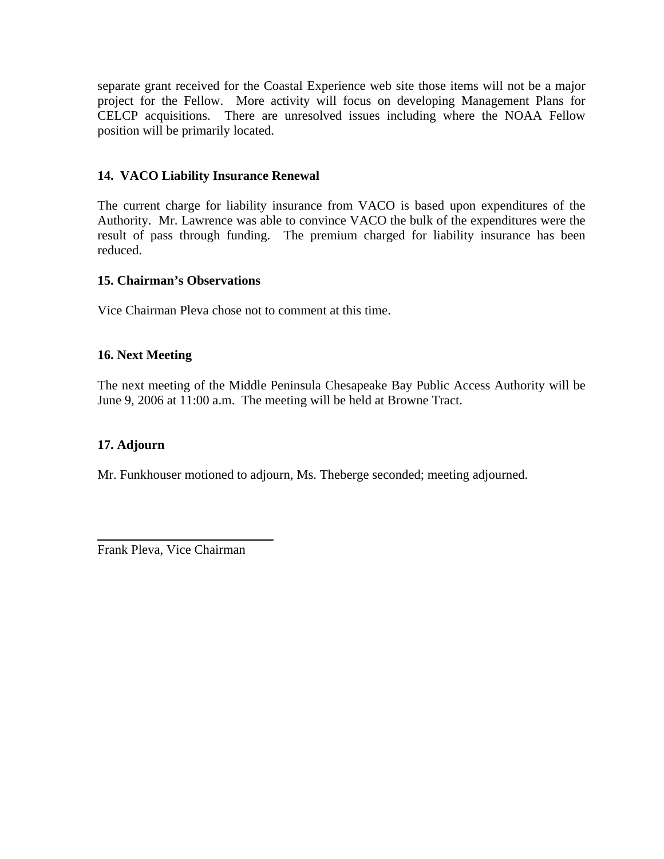separate grant received for the Coastal Experience web site those items will not be a major project for the Fellow. More activity will focus on developing Management Plans for CELCP acquisitions. There are unresolved issues including where the NOAA Fellow position will be primarily located.

## **14. VACO Liability Insurance Renewal**

The current charge for liability insurance from VACO is based upon expenditures of the Authority. Mr. Lawrence was able to convince VACO the bulk of the expenditures were the result of pass through funding. The premium charged for liability insurance has been reduced.

#### **15. Chairman's Observations**

Vice Chairman Pleva chose not to comment at this time.

### **16. Next Meeting**

The next meeting of the Middle Peninsula Chesapeake Bay Public Access Authority will be June 9, 2006 at 11:00 a.m. The meeting will be held at Browne Tract.

#### **17. Adjourn**

Mr. Funkhouser motioned to adjourn, Ms. Theberge seconded; meeting adjourned.

Frank Pleva, Vice Chairman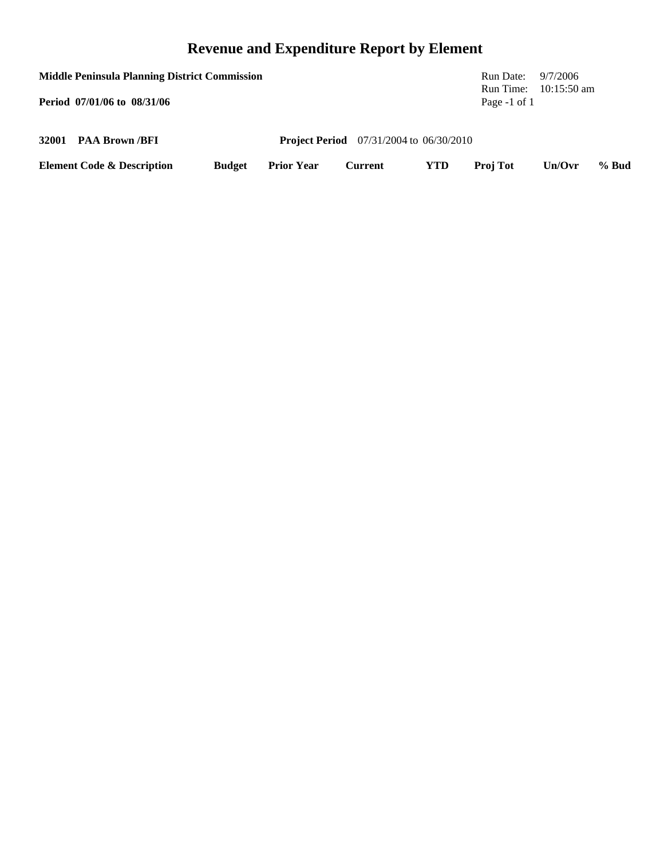# **Revenue and Expenditure Report by Element**

| <b>Middle Peninsula Planning District Commission</b> |                                       |               |                   |                                                    |            | Run Date: $9/7/2006$        |               |       |
|------------------------------------------------------|---------------------------------------|---------------|-------------------|----------------------------------------------------|------------|-----------------------------|---------------|-------|
|                                                      | Period 07/01/06 to 08/31/06           |               |                   |                                                    |            | Run Time:<br>Page $-1$ of 1 | $10:15:50$ am |       |
|                                                      | 32001 PAA Brown /BFI                  |               |                   | <b>Project Period</b> $07/31/2004$ to $06/30/2010$ |            |                             |               |       |
|                                                      | <b>Element Code &amp; Description</b> | <b>Budget</b> | <b>Prior Year</b> | Current                                            | <b>YTD</b> | <b>Proj Tot</b>             | Un/Ovr        | % Bud |